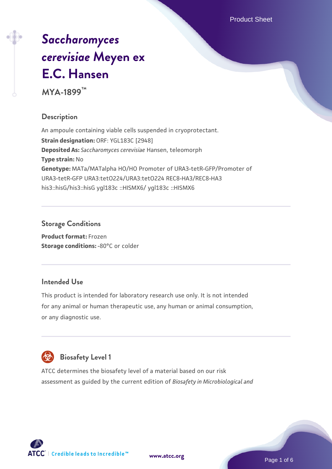Product Sheet

# *[Saccharomyces](https://www.atcc.org/products/mya-1899) [cerevisiae](https://www.atcc.org/products/mya-1899)* **[Meyen ex](https://www.atcc.org/products/mya-1899) [E.C. Hansen](https://www.atcc.org/products/mya-1899)**

**MYA-1899™**

## **Description**

An ampoule containing viable cells suspended in cryoprotectant. **Strain designation:** ORF: YGL183C [2948] **Deposited As:** *Saccharomyces cerevisiae* Hansen, teleomorph **Type strain:** No **Genotype:** MATa/MATalpha HO/HO Promoter of URA3-tetR-GFP/Promoter of URA3-tetR-GFP URA3:tetO224/URA3:tetO224 REC8-HA3/REC8-HA3 his3::hisG/his3::hisG ygl183c ::HISMX6/ ygl183c ::HISMX6

## **Storage Conditions**

**Product format:** Frozen **Storage conditions: -80°C or colder** 

## **Intended Use**

This product is intended for laboratory research use only. It is not intended for any animal or human therapeutic use, any human or animal consumption, or any diagnostic use.



# **Biosafety Level 1**

ATCC determines the biosafety level of a material based on our risk assessment as guided by the current edition of *Biosafety in Microbiological and*

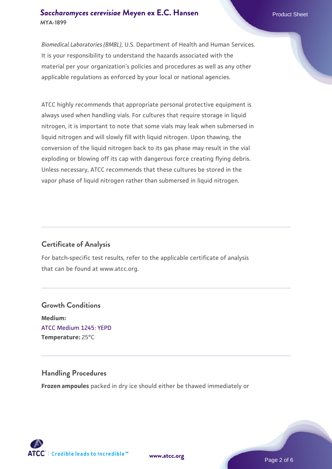## **[Saccharomyces cerevisiae](https://www.atcc.org/products/mya-1899)** [Meyen ex E.C. Hansen](https://www.atcc.org/products/mya-1899) **MYA-1899**

*Biomedical Laboratories (BMBL)*, U.S. Department of Health and Human Services. It is your responsibility to understand the hazards associated with the material per your organization's policies and procedures as well as any other applicable regulations as enforced by your local or national agencies.

ATCC highly recommends that appropriate personal protective equipment is always used when handling vials. For cultures that require storage in liquid nitrogen, it is important to note that some vials may leak when submersed in liquid nitrogen and will slowly fill with liquid nitrogen. Upon thawing, the conversion of the liquid nitrogen back to its gas phase may result in the vial exploding or blowing off its cap with dangerous force creating flying debris. Unless necessary, ATCC recommends that these cultures be stored in the vapor phase of liquid nitrogen rather than submersed in liquid nitrogen.

## **Certificate of Analysis**

For batch-specific test results, refer to the applicable certificate of analysis that can be found at www.atcc.org.

## **Growth Conditions Medium:**  [ATCC Medium 1245: YEPD](https://www.atcc.org/-/media/product-assets/documents/microbial-media-formulations/1/2/4/5/atcc-medium-1245.pdf?rev=705ca55d1b6f490a808a965d5c072196) **Temperature:** 25°C

## **Handling Procedures**

**Frozen ampoules** packed in dry ice should either be thawed immediately or

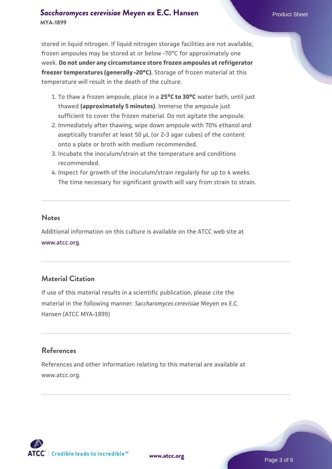## **[Saccharomyces cerevisiae](https://www.atcc.org/products/mya-1899)** [Meyen ex E.C. Hansen](https://www.atcc.org/products/mya-1899) **MYA-1899**

stored in liquid nitrogen. If liquid nitrogen storage facilities are not available, frozen ampoules may be stored at or below -70°C for approximately one week. **Do not under any circumstance store frozen ampoules at refrigerator freezer temperatures (generally -20°C)**. Storage of frozen material at this temperature will result in the death of the culture.

- 1. To thaw a frozen ampoule, place in a **25°C to 30°C** water bath, until just thawed **(approximately 5 minutes)**. Immerse the ampoule just sufficient to cover the frozen material. Do not agitate the ampoule.
- 2. Immediately after thawing, wipe down ampoule with 70% ethanol and aseptically transfer at least 50 µL (or 2-3 agar cubes) of the content onto a plate or broth with medium recommended.
- 3. Incubate the inoculum/strain at the temperature and conditions recommended.
- 4. Inspect for growth of the inoculum/strain regularly for up to 4 weeks. The time necessary for significant growth will vary from strain to strain.

#### **Notes**

Additional information on this culture is available on the ATCC web site at [www.atcc.org.](http://www.atcc.org/)

## **Material Citation**

If use of this material results in a scientific publication, please cite the material in the following manner: *Saccharomyces cerevisiae* Meyen ex E.C. Hansen (ATCC MYA-1899)

## **References**

References and other information relating to this material are available at www.atcc.org.

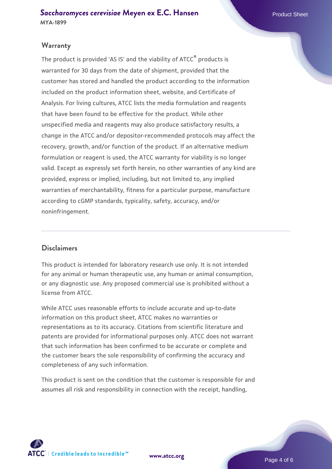## **Warranty**

The product is provided 'AS IS' and the viability of ATCC® products is warranted for 30 days from the date of shipment, provided that the customer has stored and handled the product according to the information included on the product information sheet, website, and Certificate of Analysis. For living cultures, ATCC lists the media formulation and reagents that have been found to be effective for the product. While other unspecified media and reagents may also produce satisfactory results, a change in the ATCC and/or depositor-recommended protocols may affect the recovery, growth, and/or function of the product. If an alternative medium formulation or reagent is used, the ATCC warranty for viability is no longer valid. Except as expressly set forth herein, no other warranties of any kind are provided, express or implied, including, but not limited to, any implied warranties of merchantability, fitness for a particular purpose, manufacture according to cGMP standards, typicality, safety, accuracy, and/or noninfringement.

#### **Disclaimers**

This product is intended for laboratory research use only. It is not intended for any animal or human therapeutic use, any human or animal consumption, or any diagnostic use. Any proposed commercial use is prohibited without a license from ATCC.

While ATCC uses reasonable efforts to include accurate and up-to-date information on this product sheet, ATCC makes no warranties or representations as to its accuracy. Citations from scientific literature and patents are provided for informational purposes only. ATCC does not warrant that such information has been confirmed to be accurate or complete and the customer bears the sole responsibility of confirming the accuracy and completeness of any such information.

This product is sent on the condition that the customer is responsible for and assumes all risk and responsibility in connection with the receipt, handling,



**[www.atcc.org](http://www.atcc.org)**

Page 4 of 6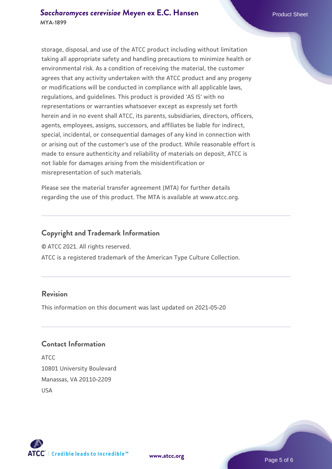storage, disposal, and use of the ATCC product including without limitation taking all appropriate safety and handling precautions to minimize health or environmental risk. As a condition of receiving the material, the customer agrees that any activity undertaken with the ATCC product and any progeny or modifications will be conducted in compliance with all applicable laws, regulations, and guidelines. This product is provided 'AS IS' with no representations or warranties whatsoever except as expressly set forth herein and in no event shall ATCC, its parents, subsidiaries, directors, officers, agents, employees, assigns, successors, and affiliates be liable for indirect, special, incidental, or consequential damages of any kind in connection with or arising out of the customer's use of the product. While reasonable effort is made to ensure authenticity and reliability of materials on deposit, ATCC is not liable for damages arising from the misidentification or misrepresentation of such materials.

Please see the material transfer agreement (MTA) for further details regarding the use of this product. The MTA is available at www.atcc.org.

## **Copyright and Trademark Information**

© ATCC 2021. All rights reserved.

ATCC is a registered trademark of the American Type Culture Collection.

## **Revision**

This information on this document was last updated on 2021-05-20

### **Contact Information**

ATCC 10801 University Boulevard Manassas, VA 20110-2209 USA